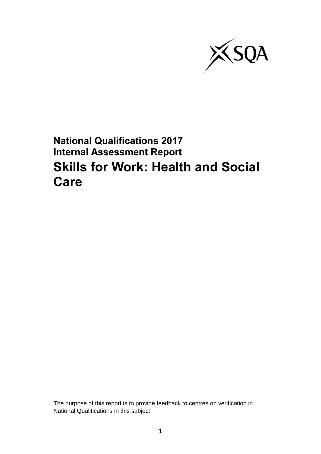

## **National Qualifications 2017 Internal Assessment Report Skills for Work: Health and Social Care**

The purpose of this report is to provide feedback to centres on verification in National Qualifications in this subject.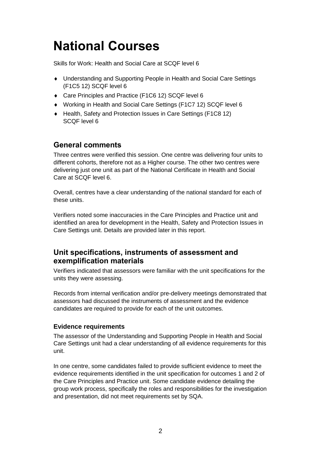# **National Courses**

Skills for Work: Health and Social Care at SCQF level 6

- Understanding and Supporting People in Health and Social Care Settings (F1C5 12) SCQF level 6
- Care Principles and Practice (F1C6 12) SCQF level 6
- Working in Health and Social Care Settings (F1C7 12) SCQF level 6
- ◆ Health, Safety and Protection Issues in Care Settings (F1C8 12) SCQF level 6

## **General comments**

Three centres were verified this session. One centre was delivering four units to different cohorts, therefore not as a Higher course. The other two centres were delivering just one unit as part of the National Certificate in Health and Social Care at SCQF level 6.

Overall, centres have a clear understanding of the national standard for each of these units.

Verifiers noted some inaccuracies in the Care Principles and Practice unit and identified an area for development in the Health, Safety and Protection Issues in Care Settings unit. Details are provided later in this report.

## **Unit specifications, instruments of assessment and exemplification materials**

Verifiers indicated that assessors were familiar with the unit specifications for the units they were assessing.

Records from internal verification and/or pre-delivery meetings demonstrated that assessors had discussed the instruments of assessment and the evidence candidates are required to provide for each of the unit outcomes.

#### **Evidence requirements**

The assessor of the Understanding and Supporting People in Health and Social Care Settings unit had a clear understanding of all evidence requirements for this unit.

In one centre, some candidates failed to provide sufficient evidence to meet the evidence requirements identified in the unit specification for outcomes 1 and 2 of the Care Principles and Practice unit. Some candidate evidence detailing the group work process, specifically the roles and responsibilities for the investigation and presentation, did not meet requirements set by SQA.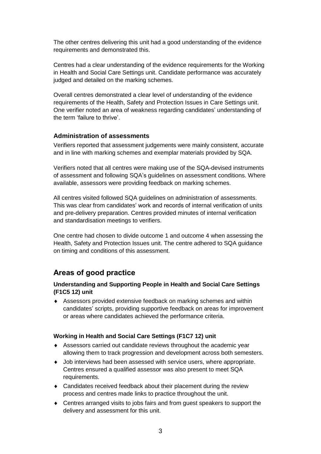The other centres delivering this unit had a good understanding of the evidence requirements and demonstrated this.

Centres had a clear understanding of the evidence requirements for the Working in Health and Social Care Settings unit. Candidate performance was accurately judged and detailed on the marking schemes.

Overall centres demonstrated a clear level of understanding of the evidence requirements of the Health, Safety and Protection Issues in Care Settings unit. One verifier noted an area of weakness regarding candidates' understanding of the term 'failure to thrive'.

#### **Administration of assessments**

Verifiers reported that assessment judgements were mainly consistent, accurate and in line with marking schemes and exemplar materials provided by SQA.

Verifiers noted that all centres were making use of the SQA-devised instruments of assessment and following SQA's guidelines on assessment conditions. Where available, assessors were providing feedback on marking schemes.

All centres visited followed SQA guidelines on administration of assessments. This was clear from candidates' work and records of internal verification of units and pre-delivery preparation. Centres provided minutes of internal verification and standardisation meetings to verifiers.

One centre had chosen to divide outcome 1 and outcome 4 when assessing the Health, Safety and Protection Issues unit. The centre adhered to SQA guidance on timing and conditions of this assessment.

### **Areas of good practice**

#### **Understanding and Supporting People in Health and Social Care Settings (F1C5 12) unit**

 Assessors provided extensive feedback on marking schemes and within candidates' scripts, providing supportive feedback on areas for improvement or areas where candidates achieved the performance criteria.

#### **Working in Health and Social Care Settings (F1C7 12) unit**

- Assessors carried out candidate reviews throughout the academic year allowing them to track progression and development across both semesters.
- Job interviews had been assessed with service users, where appropriate. Centres ensured a qualified assessor was also present to meet SQA requirements.
- Candidates received feedback about their placement during the review process and centres made links to practice throughout the unit.
- Centres arranged visits to jobs fairs and from guest speakers to support the delivery and assessment for this unit.